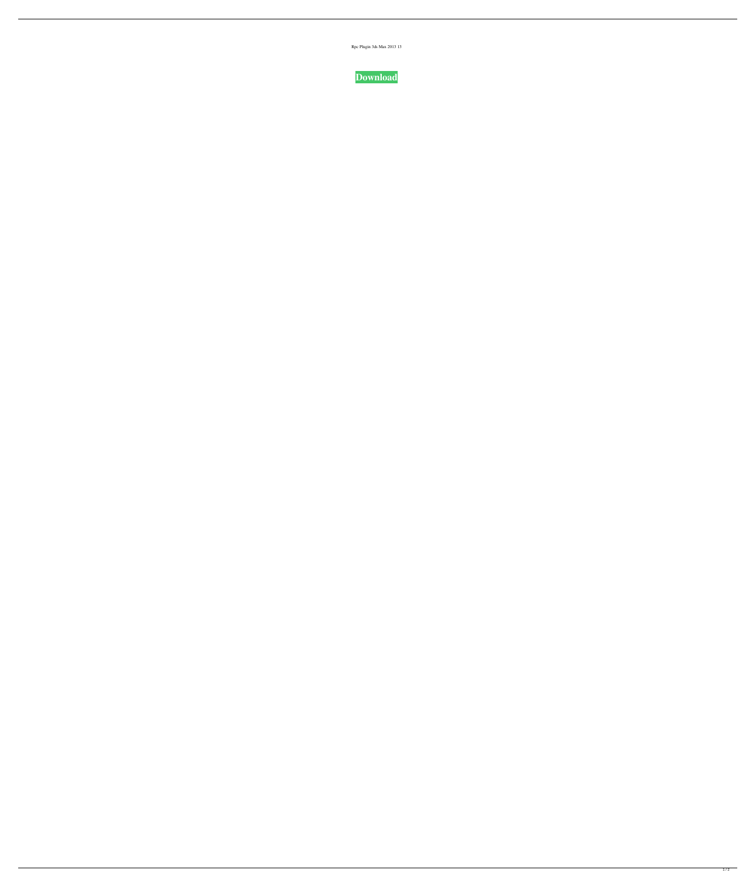| Rpc Plugin 3ds Max 2013 13 |  |  |
|----------------------------|--|--|